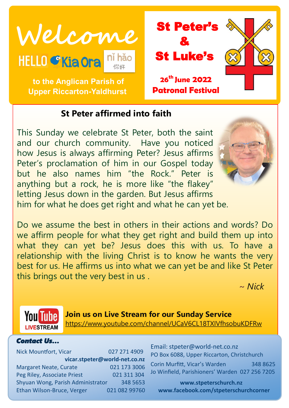



# **to the Anglican Parish of Upper Riccarton-Yaldhurst**

# **St Peter affirmed into faith**

This Sunday we celebrate St Peter, both the saint and our church community. Have you noticed how Jesus is always affirming Peter? Jesus affirms Peter's proclamation of him in our Gospel today but he also names him "the Rock." Peter is anything but a rock, he is more like "the flakey" letting Jesus down in the garden. But Jesus affirms him for what he does get right and what he can yet be.



Do we assume the best in others in their actions and words? Do we affirm people for what they get right and build them up into what they can yet be? Jesus does this with us. To have a relationship with the living Christ is to know he wants the very best for us. He affirms us into what we can yet be and like St Peter this brings out the very best in us .

 *~ Nick* 



**Join us on Live Stream for our Sunday Service** <https://www.youtube.com/channel/UCaV6CL18TXIVfhsobuKDFRw>

#### *Contact Us…*

Nick Mountfort, Vicar 027 271 4909 **vicar.stpeter@world-net.co.nz** Margaret Neate, Curate 021 173 3006 Peg Riley, Associate Priest 021 311 304 Shyuan Wong, Parish Administrator 348 5653 Ethan Wilson-Bruce, Verger 021 082 99760 Email: stpeter@world-net.co.nz PO Box 6088, Upper Riccarton, Christchurch Corin Murfitt, Vicar's Warden 348 8625

Jo Winfield, Parishioners' Warden 027 256 7205

**www.stpeterschurch.nz www.facebook.com/stpeterschurchcorner**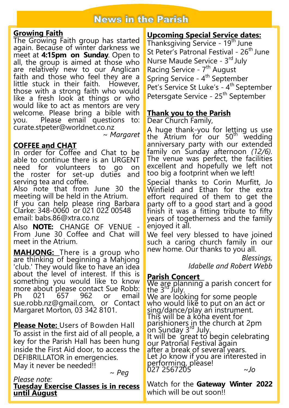# **News in the Parish**

## **Growing Faith**

The Growing Faith group has started again. Because of winter darkness we meet at **4:15pm on Sunday**. Open to all, the group is aimed at those who are relatively new to our Anglican faith and those who feel they are a little stuck in their faith. However, those with a strong faith who would like a fresh look at things or who would like to act as mentors are very welcome. Please bring a bible with you. Please email questions to: curate.stpeter@worldnet.co.nz

~ *Margaret*

## **COFFEE and CHAT**

In order for Coffee and Chat to be able to continue there is an URGENT need for volunteers to go on the roster for set-up duties and serving tea and coffee.

Also note that from June 30 the meeting will be held in the Atrium.

If you can help please ring Barbara Clarke: 348-0060 or 021 022 00548 email: babs.86@xtra.co.nz

Also **NOTE:** CHANGE OF VENUE - From June 30 Coffee and Chat will meet in the Atrium.

**MAHJONG:** There is a group who are thinking of beginning a Mahjong 'club.' They would like to have an idea about the level of interest. If this is something you would like to know more about please contact Sue Robb: Ph 021 657 962 or email sue.robb.nz@gmail.com, or Contact Margaret Morton, 03 342 8101.

**Please Note:** Users of Bowden Hall To assist in the first aid of all people, a key for the Parish Hall has been hung inside the First Aid door, to access the DEFIBRILLATOR in emergencies. May it never be needed!!

*~ Peg*

#### *Please note:*  **Tuesday Exercise Classes is in recess until August**

# **Upcoming Special Service dates:**

Thanksgiving Service - 19<sup>th</sup> June St Peter's Patronal Festival - 26<sup>th</sup> June Nurse Maude Service - 3rd July Racing Service - 7<sup>th</sup> August Spring Service - 4<sup>th</sup> September Pet's Service St Luke's - 4<sup>th</sup> September Petersgate Service - 25<sup>th</sup> September

## **Thank you to the Parish**

Dear Church Family,

A huge thank-you for letting us use the Atrium for our 50<sup>th</sup> wedding anniversary party with our extended family on Sunday afternoon *(12/6).*  The venue was perfect, the facilities excellent and hopefully we left not too big a footprint when we left!

Special thanks to Corin Murfitt, Jo Winfield and Ethan for the extra effort required of them to get the party off to a good start and a good finish it was a fitting tribute to fifty years of togetherness and the family enjoyed it all.

We feel very blessed to have joined such a caring church family in our new home. Our thanks to you all.

*Blessings,*

*Idabelle and Robert Webb*

## **Parish Concert**

We are planning a parish concert for the  $3^{rd}$  July. We are looking for some people

who would like to put on an act or sing/dance/play an instrument. This will be a koha event for parishioners in the church at 2pm on Sunday 3rd July. It will be great to begin celebrating our Patronal Festival again after a break of several years. Let Jo know if you are interested in performing, please! 027 2567205 *~Jo*

Watch for the **Gateway Winter 2022**  which will be out soon!!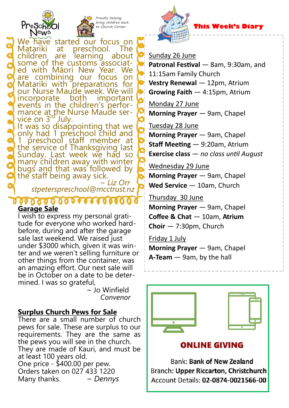



Proudly helping bring children back Church Corner

We have started our focus on<br>Matariki at preschool. The at preschool. children are learning about some of the customs associated with Māori New Year. We are combining our focus on Matariki with preparations for our Nurse Maude week. We will<br>incorporate both important incorporate both important events in the children's performance at the Nurse Maude ser-<br>vice on 3<sup>rd</sup> July. vice on  $3<sup>r</sup>$ 

It was so disappointing that we only had 1 preschool child and 1 preschool staff member at the service of Thanksgiving last Sunday. Last week we had so many children away with winter bugs and that was followed by the staff being away sick.

~ *Liz Orr stpeterspreschool@mcctrust.nz*

## **Garage Sale**

I wish to express my personal gratitude for everyone who worked hardbefore, during and after the garage sale last weekend. We raised just under \$3000 which, given it was winter and we weren't selling furniture or other things from the container, was an amazing effort. Our next sale will be in October on a date to be determined. I was so grateful,

 $\sim$  Jo Winfield *Convenor*

## **Surplus Church Pews for Sale**

There are a small number of church pews for sale. These are surplus to our requirements. They are the same as the pews you will see in the church. They are made of Kauri, and must be at least 100 years old. One price - \$400.00 per pew. Orders taken on 027 433 1220 Many thanks. *~ Dennys*



## **This Week's Diary**

### Sunday 26 June

**Patronal Festival** — 8am, 9:30am, and 11:15am Family Church **Vestry Renewal — 12pm, Atrium Growing Faith** — 4:15pm, Atrium

Monday 27 June **Morning Prayer** — 9am, Chapel

Tuesday 28 June **Morning Prayer** — 9am, Chapel **Staff Meeting** — 9:20am, Atrium **Exercise class** — *no class until August*

Wednesday 29 June **Morning Prayer** — 9am, Chapel Wed Service - 10am, Church

Thursday 30 June **Morning Prayer** — 9am, Chapel **Coffee & Chat** — 10am, **Atrium Choir** — 7:30pm, Church

Friday 1 July **Morning Prayer** — 9am, Chapel **A-Team** — 9am, by the hall



**Bank: Bank of New Zealand** Branch: Upper Riccarton, Christchurch Account Details: 02-0874-0021566-00